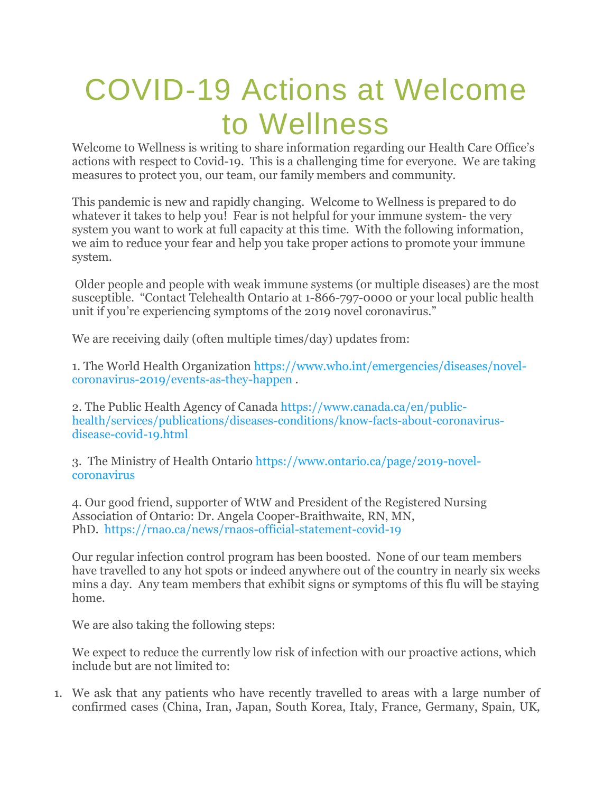# COVID-19 Actions at Welcome to Wellness

Welcome to Wellness is writing to share information regarding our Health Care Office's actions with respect to Covid-19. This is a challenging time for everyone. We are taking measures to protect you, our team, our family members and community.

This pandemic is new and rapidly changing. Welcome to Wellness is prepared to do whatever it takes to help you! Fear is not helpful for your immune system- the very system you want to work at full capacity at this time. With the following information, we aim to reduce your fear and help you take proper actions to promote your immune system.

Older people and people with weak immune systems (or multiple diseases) are the most susceptible. "Contact Telehealth Ontario at 1-866-797-0000 or your local public health unit if you're experiencing symptoms of the 2019 novel coronavirus."

We are receiving daily (often multiple times/day) updates from:

1. The World Health Organization [https://www.who.int/emergencies/diseases/novel](https://www.welcometowellness.ca/so/daN3W3tkQ/c?w=pJR0sMeDeJCweqQbZ-oo_s2oJkFcINRd2jFWySXWYVg.eyJ1IjoiaHR0cHM6Ly93d3cud2VsY29tZXRvd2VsbG5lc3MuY2Evc28vZGFOM1czdGtRL2M_dz1rR2ktY180clNlZ290aVlTbDhMeFpEYXVzMVZrbkxaRl9NV2p6ZGVpU3NZLmV5SjFJam9pYUhSMGNITTZMeTkzZDNjdWQyaHZMbWx1ZEM5bGJXVnlaMlZ1WTJsbGN5OWthWE5sWVhObGN5OXViM1psYkMxamIzSnZibUYyYVhKMWN5MHlNREU1TDJWMlpXNTBjeTFoY3kxMGFHVjVMV2hoY0hCbGJpSXNJbklpT2lJd1lqVmpNVFk0TUMxak1HWTFMVFJsWlRjdE4ySXdOQzB3WkRoak4yRmxPRFEyTVdJaUxDSnRJam9pYldGcGJDSXNJbU1pT2lJd01EQXdNREF3TUMwd01EQXdMVEF3TURBdE1EQXdNQzB3TURBd01EQXdNREF3TURBaWZRIiwiciI6IjBiNWMxNjgwLWMwZjUtNGVlNy03YjA0LTBkOGM3YWU4NDYxYiIsIm0iOiJscCJ9)[coronavirus-2019/events-as-they-happen](https://www.welcometowellness.ca/so/daN3W3tkQ/c?w=pJR0sMeDeJCweqQbZ-oo_s2oJkFcINRd2jFWySXWYVg.eyJ1IjoiaHR0cHM6Ly93d3cud2VsY29tZXRvd2VsbG5lc3MuY2Evc28vZGFOM1czdGtRL2M_dz1rR2ktY180clNlZ290aVlTbDhMeFpEYXVzMVZrbkxaRl9NV2p6ZGVpU3NZLmV5SjFJam9pYUhSMGNITTZMeTkzZDNjdWQyaHZMbWx1ZEM5bGJXVnlaMlZ1WTJsbGN5OWthWE5sWVhObGN5OXViM1psYkMxamIzSnZibUYyYVhKMWN5MHlNREU1TDJWMlpXNTBjeTFoY3kxMGFHVjVMV2hoY0hCbGJpSXNJbklpT2lJd1lqVmpNVFk0TUMxak1HWTFMVFJsWlRjdE4ySXdOQzB3WkRoak4yRmxPRFEyTVdJaUxDSnRJam9pYldGcGJDSXNJbU1pT2lJd01EQXdNREF3TUMwd01EQXdMVEF3TURBdE1EQXdNQzB3TURBd01EQXdNREF3TURBaWZRIiwiciI6IjBiNWMxNjgwLWMwZjUtNGVlNy03YjA0LTBkOGM3YWU4NDYxYiIsIm0iOiJscCJ9) .

2. The Public Health Agency of Canada [https://www.canada.ca/en/public](https://www.welcometowellness.ca/so/daN3W3tkQ/c?w=oEKqBA4HjIvKGsBf1Kzbj2oxxRBcqHu40KeJlRkQMpI.eyJ1IjoiaHR0cHM6Ly93d3cud2VsY29tZXRvd2VsbG5lc3MuY2Evc28vZGFOM1czdGtRL2M_dz1GLU8tenR6RThuRy1EcTN0eGRaVi10TTlDaHNZNV9pT0xfNDlIaE45T3NNLmV5SjFJam9pYUhSMGNITTZMeTkzZDNjdVkyRnVZV1JoTG1OaEwyVnVMM0IxWW14cFl5MW9aV0ZzZEdndmMyVnlkbWxqWlhNdmNIVmliR2xqWVhScGIyNXpMMlJwYzJWaGMyVnpMV052Ym1ScGRHbHZibk12YTI1dmR5MW1ZV04wY3kxaFltOTFkQzFqYjNKdmJtRjJhWEoxY3kxa2FYTmxZWE5sTFdOdmRtbGtMVEU1TG1oMGJXd2lMQ0p5SWpvaU1HSTFZekUyT0RBdFl6Qm1OUzAwWldVM0xUZGlNRFF0TUdRNFl6ZGhaVGcwTmpGaUlpd2liU0k2SW0xaGFXd2lMQ0pqSWpvaU1EQXdNREF3TURBdE1EQXdNQzB3TURBd0xUQXdNREF0TURBd01EQXdNREF3TURBd0luMCIsInIiOiIwYjVjMTY4MC1jMGY1LTRlZTctN2IwNC0wZDhjN2FlODQ2MWIiLCJtIjoibHAifQ)[health/services/publications/diseases-conditions/know-facts-about-coronavirus](https://www.welcometowellness.ca/so/daN3W3tkQ/c?w=oEKqBA4HjIvKGsBf1Kzbj2oxxRBcqHu40KeJlRkQMpI.eyJ1IjoiaHR0cHM6Ly93d3cud2VsY29tZXRvd2VsbG5lc3MuY2Evc28vZGFOM1czdGtRL2M_dz1GLU8tenR6RThuRy1EcTN0eGRaVi10TTlDaHNZNV9pT0xfNDlIaE45T3NNLmV5SjFJam9pYUhSMGNITTZMeTkzZDNjdVkyRnVZV1JoTG1OaEwyVnVMM0IxWW14cFl5MW9aV0ZzZEdndmMyVnlkbWxqWlhNdmNIVmliR2xqWVhScGIyNXpMMlJwYzJWaGMyVnpMV052Ym1ScGRHbHZibk12YTI1dmR5MW1ZV04wY3kxaFltOTFkQzFqYjNKdmJtRjJhWEoxY3kxa2FYTmxZWE5sTFdOdmRtbGtMVEU1TG1oMGJXd2lMQ0p5SWpvaU1HSTFZekUyT0RBdFl6Qm1OUzAwWldVM0xUZGlNRFF0TUdRNFl6ZGhaVGcwTmpGaUlpd2liU0k2SW0xaGFXd2lMQ0pqSWpvaU1EQXdNREF3TURBdE1EQXdNQzB3TURBd0xUQXdNREF0TURBd01EQXdNREF3TURBd0luMCIsInIiOiIwYjVjMTY4MC1jMGY1LTRlZTctN2IwNC0wZDhjN2FlODQ2MWIiLCJtIjoibHAifQ)[disease-covid-19.html](https://www.welcometowellness.ca/so/daN3W3tkQ/c?w=oEKqBA4HjIvKGsBf1Kzbj2oxxRBcqHu40KeJlRkQMpI.eyJ1IjoiaHR0cHM6Ly93d3cud2VsY29tZXRvd2VsbG5lc3MuY2Evc28vZGFOM1czdGtRL2M_dz1GLU8tenR6RThuRy1EcTN0eGRaVi10TTlDaHNZNV9pT0xfNDlIaE45T3NNLmV5SjFJam9pYUhSMGNITTZMeTkzZDNjdVkyRnVZV1JoTG1OaEwyVnVMM0IxWW14cFl5MW9aV0ZzZEdndmMyVnlkbWxqWlhNdmNIVmliR2xqWVhScGIyNXpMMlJwYzJWaGMyVnpMV052Ym1ScGRHbHZibk12YTI1dmR5MW1ZV04wY3kxaFltOTFkQzFqYjNKdmJtRjJhWEoxY3kxa2FYTmxZWE5sTFdOdmRtbGtMVEU1TG1oMGJXd2lMQ0p5SWpvaU1HSTFZekUyT0RBdFl6Qm1OUzAwWldVM0xUZGlNRFF0TUdRNFl6ZGhaVGcwTmpGaUlpd2liU0k2SW0xaGFXd2lMQ0pqSWpvaU1EQXdNREF3TURBdE1EQXdNQzB3TURBd0xUQXdNREF0TURBd01EQXdNREF3TURBd0luMCIsInIiOiIwYjVjMTY4MC1jMGY1LTRlZTctN2IwNC0wZDhjN2FlODQ2MWIiLCJtIjoibHAifQ)

3. The Ministry of Health Ontario [https://www.ontario.ca/page/2019-novel](https://www.welcometowellness.ca/so/daN3W3tkQ/c?w=8uQWq-nwlSJO1o1oi850wI77gCgYfNkKrtLHi1HR1P0.eyJ1IjoiaHR0cHM6Ly93d3cud2VsY29tZXRvd2VsbG5lc3MuY2Evc28vZGFOM1czdGtRL2M_dz1fZkQ2ckUydFI5T2hCa01CTVdUTDZkTHFBY0dhZ0JpOGhVZDczM3FJeDF3LmV5SjFJam9pYUhSMGNITTZMeTkzZDNjdWIyNTBZWEpwYnk1allTOXdZV2RsTHpJd01Ua3RibTkyWld3dFkyOXliMjVoZG1seWRYTWlMQ0p5SWpvaU1HSTFZekUyT0RBdFl6Qm1OUzAwWldVM0xUZGlNRFF0TUdRNFl6ZGhaVGcwTmpGaUlpd2liU0k2SW0xaGFXd2lMQ0pqSWpvaU1EQXdNREF3TURBdE1EQXdNQzB3TURBd0xUQXdNREF0TURBd01EQXdNREF3TURBd0luMCIsInIiOiIwYjVjMTY4MC1jMGY1LTRlZTctN2IwNC0wZDhjN2FlODQ2MWIiLCJtIjoibHAifQ)[coronavirus](https://www.welcometowellness.ca/so/daN3W3tkQ/c?w=8uQWq-nwlSJO1o1oi850wI77gCgYfNkKrtLHi1HR1P0.eyJ1IjoiaHR0cHM6Ly93d3cud2VsY29tZXRvd2VsbG5lc3MuY2Evc28vZGFOM1czdGtRL2M_dz1fZkQ2ckUydFI5T2hCa01CTVdUTDZkTHFBY0dhZ0JpOGhVZDczM3FJeDF3LmV5SjFJam9pYUhSMGNITTZMeTkzZDNjdWIyNTBZWEpwYnk1allTOXdZV2RsTHpJd01Ua3RibTkyWld3dFkyOXliMjVoZG1seWRYTWlMQ0p5SWpvaU1HSTFZekUyT0RBdFl6Qm1OUzAwWldVM0xUZGlNRFF0TUdRNFl6ZGhaVGcwTmpGaUlpd2liU0k2SW0xaGFXd2lMQ0pqSWpvaU1EQXdNREF3TURBdE1EQXdNQzB3TURBd0xUQXdNREF0TURBd01EQXdNREF3TURBd0luMCIsInIiOiIwYjVjMTY4MC1jMGY1LTRlZTctN2IwNC0wZDhjN2FlODQ2MWIiLCJtIjoibHAifQ)

4. Our good friend, supporter of WtW and President of the Registered Nursing Association of Ontario: Dr. Angela Cooper-Braithwaite, RN, MN, PhD. [https://rnao.ca/news/rnaos-official-statement-covid-19](https://www.welcometowellness.ca/so/daN3W3tkQ/c?w=dfJZUguSwYiP8x9mKGTFx5Ff51g8z4JYxLH_EItBS2Y.eyJ1IjoiaHR0cHM6Ly93d3cud2VsY29tZXRvd2VsbG5lc3MuY2Evc28vZGFOM1czdGtRL2M_dz1kX1hvMDlrM2hYOFo5b2sxMUFwa3JkTGI4SElHNWdXellaNi1uX1laM1AwLmV5SjFJam9pYUhSMGNITTZMeTl5Ym1GdkxtTmhMMjVsZDNNdmNtNWhiM010YjJabWFXTnBZV3d0YzNSaGRHVnRaVzUwTFdOdmRtbGtMVEU1SWl3aWNpSTZJakJpTldNeE5qZ3dMV013WmpVdE5HVmxOeTAzWWpBMExUQmtPR00zWVdVNE5EWXhZaUlzSW0waU9pSnRZV2xzSWl3aVl5STZJakF3TURBd01EQXdMVEF3TURBdE1EQXdNQzB3TURBd0xUQXdNREF3TURBd01EQXdNQ0o5IiwiciI6IjBiNWMxNjgwLWMwZjUtNGVlNy03YjA0LTBkOGM3YWU4NDYxYiIsIm0iOiJscCJ9)

Our regular infection control program has been boosted. None of our team members have travelled to any hot spots or indeed anywhere out of the country in nearly six weeks mins a day. Any team members that exhibit signs or symptoms of this flu will be staying home.

We are also taking the following steps:

We expect to reduce the currently low risk of infection with our proactive actions, which include but are not limited to:

1. We ask that any patients who have recently travelled to areas with a large number of confirmed cases (China, Iran, Japan, South Korea, Italy, France, Germany, Spain, UK,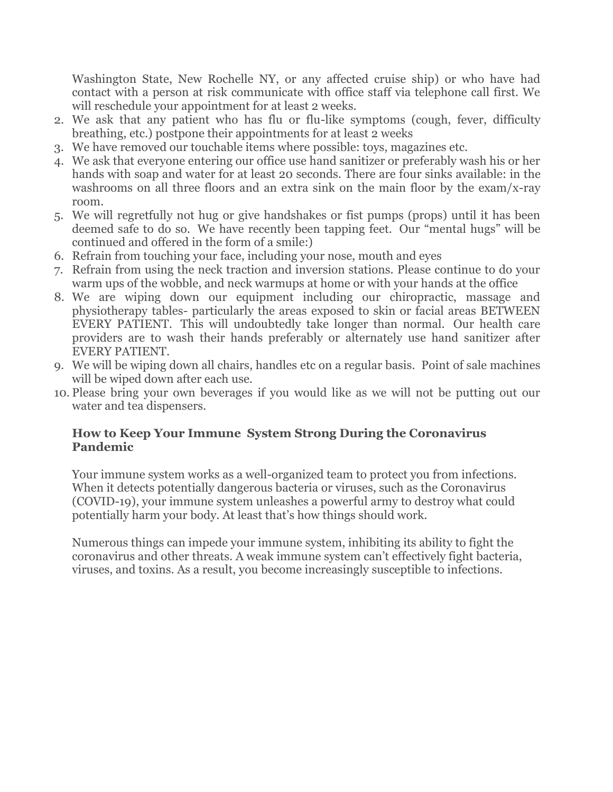Washington State, New Rochelle NY, or any affected cruise ship) or who have had contact with a person at risk communicate with office staff via telephone call first. We will reschedule your appointment for at least 2 weeks.

- 2. We ask that any patient who has flu or flu-like symptoms (cough, fever, difficulty breathing, etc.) postpone their appointments for at least 2 weeks
- 3. We have removed our touchable items where possible: toys, magazines etc.
- 4. We ask that everyone entering our office use hand sanitizer or preferably wash his or her hands with soap and water for at least 20 seconds. There are four sinks available: in the washrooms on all three floors and an extra sink on the main floor by the exam/x-ray room.
- 5. We will regretfully not hug or give handshakes or fist pumps (props) until it has been deemed safe to do so. We have recently been tapping feet. Our "mental hugs" will be continued and offered in the form of a smile:)
- 6. Refrain from touching your face, including your nose, mouth and eyes
- 7. Refrain from using the neck traction and inversion stations. Please continue to do your warm ups of the wobble, and neck warmups at home or with your hands at the office
- 8. We are wiping down our equipment including our chiropractic, massage and physiotherapy tables- particularly the areas exposed to skin or facial areas BETWEEN EVERY PATIENT. This will undoubtedly take longer than normal. Our health care providers are to wash their hands preferably or alternately use hand sanitizer after EVERY PATIENT.
- 9. We will be wiping down all chairs, handles etc on a regular basis. Point of sale machines will be wiped down after each use.
- 10. Please bring your own beverages if you would like as we will not be putting out our water and tea dispensers.

#### **How to Keep Your Immune System Strong During the Coronavirus Pandemic**

Your immune system works as a well-organized team to protect you from infections. When it detects potentially dangerous bacteria or viruses, such as the Coronavirus (COVID-19), your immune system unleashes a powerful army to destroy what could potentially harm your body. At least that's how things should work.

Numerous things can impede your immune system, inhibiting its ability to fight the coronavirus and other threats. A weak immune system can't effectively fight bacteria, viruses, and toxins. As a result, you become increasingly susceptible to infections.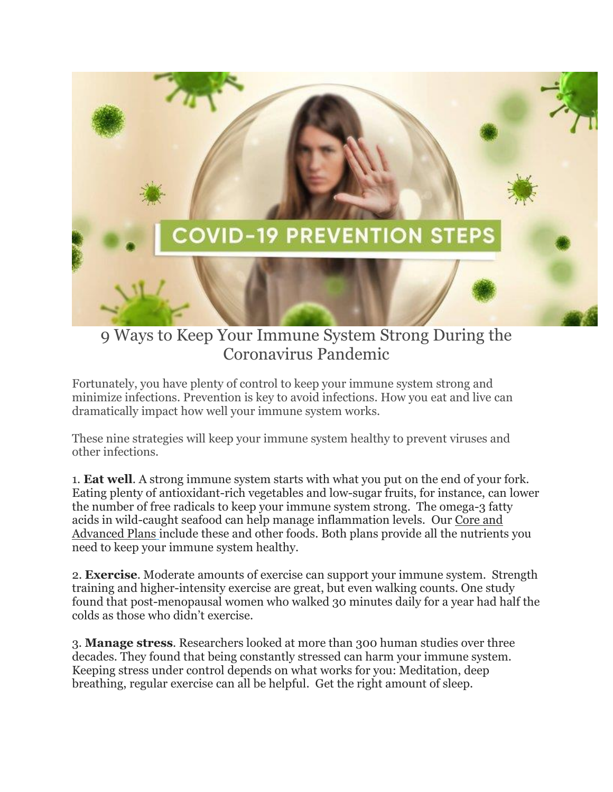

## 9 Ways to Keep Your Immune System Strong During the Coronavirus Pandemic

Fortunately, you have plenty of control to keep your immune system strong and minimize infections. Prevention is key to avoid infections. How you eat and live can dramatically impact how well your immune system works.

These nine strategies will keep your immune system healthy to prevent viruses and other infections.

1. **Eat well**. A strong immune system starts with what you put on the end of your fork. Eating plenty of antioxidant-rich vegetables and low-sugar fruits, for instance, can lower the number of free radicals to keep your immune system strong. The omega-3 fatty acids in wild-caught seafood can help manage inflammation levels. Our [Core](https://www.welcometowellness.ca/so/daN3W3tkQ/c?w=lOwlPTjhFfUeMBGQrQc16Fa-7PcpA6tanNhPB109_PM.eyJ1IjoiaHR0cHM6Ly93d3cud2VsY29tZXRvd2VsbG5lc3MuY2EvcG9zdC9jb3JlLWFuZC1hZHZhbmNlZC1udXRyaXRpb24tcGxhbnMiLCJyIjoiZGM1MzU0NGMtM2E4ZS00Yzk5LTg2ZjItMGM2NmMwZDVmYzcyIiwibSI6ImxwIn0) and [Advanced](https://www.welcometowellness.ca/so/daN3W3tkQ/c?w=lOwlPTjhFfUeMBGQrQc16Fa-7PcpA6tanNhPB109_PM.eyJ1IjoiaHR0cHM6Ly93d3cud2VsY29tZXRvd2VsbG5lc3MuY2EvcG9zdC9jb3JlLWFuZC1hZHZhbmNlZC1udXRyaXRpb24tcGxhbnMiLCJyIjoiZGM1MzU0NGMtM2E4ZS00Yzk5LTg2ZjItMGM2NmMwZDVmYzcyIiwibSI6ImxwIn0) Plan[s](https://www.welcometowellness.ca/so/daN3W3tkQ/c?w=lOwlPTjhFfUeMBGQrQc16Fa-7PcpA6tanNhPB109_PM.eyJ1IjoiaHR0cHM6Ly93d3cud2VsY29tZXRvd2VsbG5lc3MuY2EvcG9zdC9jb3JlLWFuZC1hZHZhbmNlZC1udXRyaXRpb24tcGxhbnMiLCJyIjoiZGM1MzU0NGMtM2E4ZS00Yzk5LTg2ZjItMGM2NmMwZDVmYzcyIiwibSI6ImxwIn0) include these and other foods. Both plans provide all the nutrients you need to keep your immune system healthy.

2. **Exercise**. Moderate amounts of exercise can support your immune system. Strength training and higher-intensity exercise are great, but even walking counts. One study found that post-menopausal women who walked 30 minutes daily for a year had half the colds as those who didn't exercise.

3. **Manage stress**. Researchers looked at more than 300 human studies over three decades. They found that being constantly stressed can harm your immune system. Keeping stress under control depends on what works for you: Meditation, deep breathing, regular exercise can all be helpful. Get the right amount of sleep.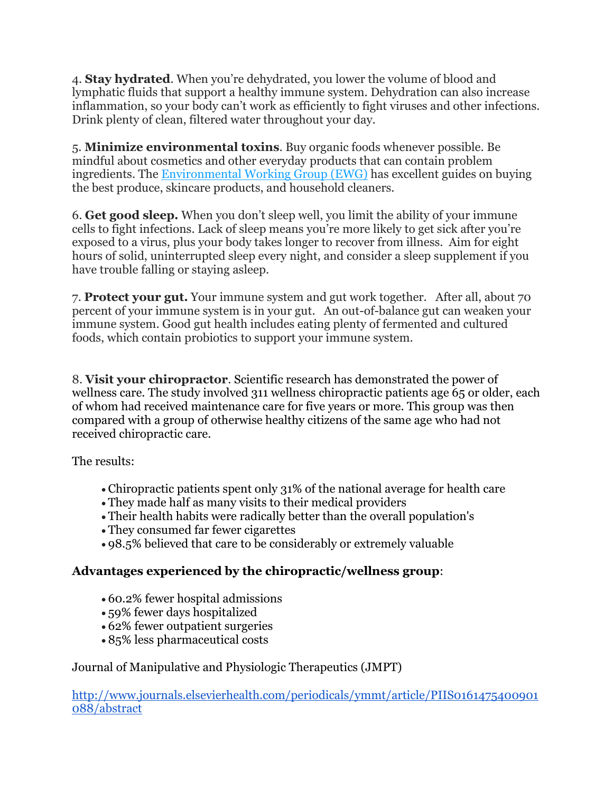4. **Stay hydrated**. When you're dehydrated, you lower the volume of blood and lymphatic fluids that support a healthy immune system. Dehydration can also increase inflammation, so your body can't work as efficiently to fight viruses and other infections. Drink plenty of clean, filtered water throughout your day.

5. **Minimize environmental toxins**. Buy organic foods whenever possible. Be mindful about cosmetics and other everyday products that can contain problem ingredients. The [Environmental](https://www.welcometowellness.ca/so/daN3W3tkQ/c?w=5iquUshBbDYUWhYHzSvd_KZtRc-eLvAJvWTPcm0V59Y.eyJ1IjoiaHR0cHM6Ly93d3cuZXdnLm9yZy8iLCJyIjoiZGM1MzU0NGMtM2E4ZS00Yzk5LTg2ZjItMGM2NmMwZDVmYzcyIiwibSI6ImxwIn0) Working Group (EWG) has excellent guides on buying the best produce, skincare products, and household cleaners.

6. **Get good sleep.** When you don't sleep well, you limit the ability of your immune cells to fight infections. Lack of sleep means you're more likely to get sick after you're exposed to a virus, plus your body takes longer to recover from illness. Aim for eight hours of solid, uninterrupted sleep every night, and consider a sleep [supplement](https://www.welcometowellness.ca/so/daN3W3tkQ/c?w=ebCXiOqUeiU1kwqGNw8FTBidRTGOUqvwCJ8SXCtQykE.eyJ1IjoiaHR0cHM6Ly93d3cud2VsY29tZXRvd2VsbG5lc3MuY2EvcHJvZHVjdC1wYWdlL21lbGF0b25pbi1wLXIiLCJyIjoiZGM1MzU0NGMtM2E4ZS00Yzk5LTg2ZjItMGM2NmMwZDVmYzcyIiwibSI6ImxwIn0) if you have trouble falling or staying asleep.

7. **Protect your gut.** Your immune system and gut work together. After all, about 70 percent of your immune system is in your gut. An out-of-balance gut can weaken your immune system. Good gut health includes eating plenty of fermented and cultured foods, which contain probiotics to support your immune system.

8. **Visit your chiropractor**. Scientific research has demonstrated the power of wellness care. The study involved 311 wellness chiropractic patients age 65 or older, each of whom had received maintenance care for five years or more. This group was then compared with a group of otherwise healthy citizens of the same age who had not received chiropractic care.

The results:

- Chiropractic patients spent only 31% of the national average for health care
- They made half as many visits to their medical providers
- Their health habits were radically better than the overall population's
- They consumed far fewer cigarettes
- 98.5% believed that care to be considerably or extremely valuable

## **Advantages experienced by the chiropractic/wellness group**:

- 60.2% fewer hospital admissions
- 59% fewer days hospitalized
- 62% fewer outpatient surgeries
- 85% less pharmaceutical costs

## Journal of Manipulative and Physiologic Therapeutics (JMPT)

[http://www.journals.elsevierhealth.com/periodicals/ymmt/article/PIIS0161475400901](http://www.journals.elsevierhealth.com/periodicals/ymmt/article/PIIS0161475400901088/abstract) [088/abstract](http://www.journals.elsevierhealth.com/periodicals/ymmt/article/PIIS0161475400901088/abstract)